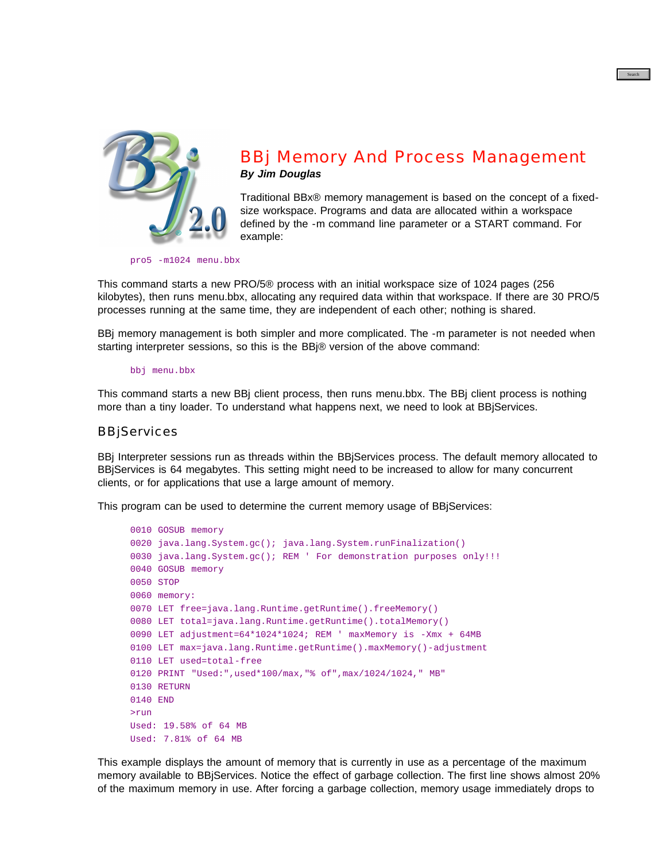

# BBj Memory And Process Management *By Jim Douglas*

Traditional BBx® memory management is based on the concept of a fixedsize workspace. Programs and data are allocated within a workspace defined by the -m command line parameter or a START command. For example:

pro5 -m1024 menu.bbx

This command starts a new PRO/5® process with an initial workspace size of 1024 pages (256 [kilo](https://www.basis.com/advantage/mag-v14n1/index.html)bytes), then runs menu.bbx, allocating any required data within that workspace. If there are 30 PRO/5 processes running at the same time, they are independent of each other; nothing is shared.

BBj memory management is both simpler and more complicated. The -m parameter is not needed when starting interpreter sessions, so this is the BBj® version of the above command:

bbj menu.bbx

[Th](https://www.basis.com/advantage/mag-v14n1/index.html)is command starts a new BBj client process, then runs menu.bbx. The BBj client process is nothing [mo](http://www.basis.com/advantage/issues.html)re than a tiny loader. To understand what happens next, we need to look at BBjServices.

## **BBjServices**

BBj Interpreter sessions run as threads within the BBjServices process. The default memory allocated to BBjServices is 64 megabytes. This setting might need to be increased to allow for many concurrent clients, or for applications that use a large amount of memory.

This program can be used to determine the current memory usage of BBjServices:

```
0010 GOSUB memory
0020 java.lang.System.gc(); java.lang.System.runFinalization()
0030 java.lang.System.gc(); REM ' For demonstration purposes only!!!
0040 GOSUB memory
0050 STOP
0060 memory:
0070 LET free=java.lang.Runtime.getRuntime().freeMemory()
0080 LET total=java.lang.Runtime.getRuntime().totalMemory()
0090 LET adjustment=64*1024*1024; REM ' maxMemory is -Xmx + 64MB
0100 LET max=java.lang.Runtime.getRuntime().maxMemory()-adjustment
0110 LET used=total-free
0120 PRINT "Used:",used*100/max,"% of",max/1024/1024," MB"
0130 RETURN
0140 END
>run
Used: 19.58% of 64 MB
Used: 7.81% of 64 MB
```
This example displays the amount of memory that is currently in use as a percentage of the maximum memory available to BBjServices. Notice the effect of garbage collection. The first line shows almost 20% of the maximum memory in use. After forcing a garbage collection, memory usage immediately drops to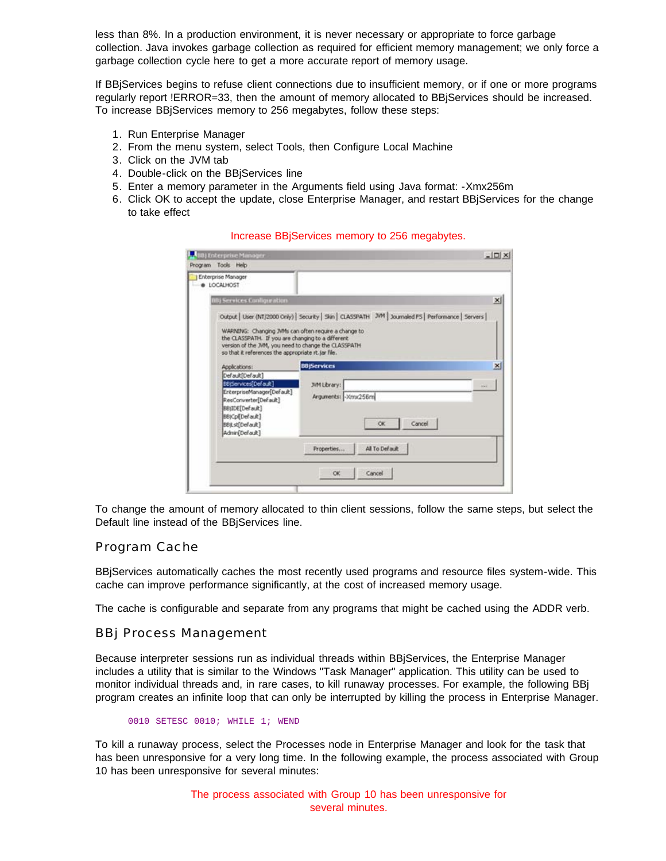less than 8%. In a production environment, it is never necessary or appropriate to force garbage collection. Java invokes garbage collection as required for efficient memory management; we only force a garbage collection cycle here to get a more accurate report of memory usage.

If BBjServices begins to refuse client connections due to insufficient memory, or if one or more programs regularly report !ERROR=33, then the amount of memory allocated to BBjServices should be increased. To increase BBjServices memory to 256 megabytes, follow these steps:

- 1. Run Enterprise Manager
- 2. From the menu system, select Tools, then Configure Local Machine
- 3. Click on the JVM tab
- 4. Double-click on the BBjServices line
- 5. Enter a memory parameter in the Arguments field using Java format: -Xmx256m
- 6. Click OK to accept the update, close Enterprise Manager, and restart BBjServices for the change to take effect

Increase BBjServices memory to 256 megabytes.

| Program Tools Help<br>Enterprise Manager<br>· LOCALHOST<br>×<br><b>NBj Services Configuration</b><br>Output   User (NT/2000 Only)   Security   Skin   CLASSPATH 7VM   Journaled PS   Performance   Servers  <br>WARNING: Changing JVMs can often require a change to<br>the CLASSPATH. If you are changing to a different<br>version of the JVM, you need to change the CLASSPATH.<br>so that it references the appropriate rt.jar file.<br><b>BBjServices</b><br>$\mathbf{x}$<br>Applications:<br>Default[Default]<br>BB(Services[Default]<br><b>JVM Library:</b><br><b>Wind</b><br>EnterpriseManager[Default]<br>Arguments: - Xmx256m |
|-----------------------------------------------------------------------------------------------------------------------------------------------------------------------------------------------------------------------------------------------------------------------------------------------------------------------------------------------------------------------------------------------------------------------------------------------------------------------------------------------------------------------------------------------------------------------------------------------------------------------------------------|
|                                                                                                                                                                                                                                                                                                                                                                                                                                                                                                                                                                                                                                         |
|                                                                                                                                                                                                                                                                                                                                                                                                                                                                                                                                                                                                                                         |
|                                                                                                                                                                                                                                                                                                                                                                                                                                                                                                                                                                                                                                         |
|                                                                                                                                                                                                                                                                                                                                                                                                                                                                                                                                                                                                                                         |
| ResConverter[Default]<br>BB(IDE[Default]<br>BBjCpl[Default]<br>Cancel<br>OK.<br>BBjLst[Default]<br>Admin(Default)                                                                                                                                                                                                                                                                                                                                                                                                                                                                                                                       |
| All To Default<br>Properties                                                                                                                                                                                                                                                                                                                                                                                                                                                                                                                                                                                                            |
| OK<br>Cancel                                                                                                                                                                                                                                                                                                                                                                                                                                                                                                                                                                                                                            |

To change the amount of memory allocated to thin client sessions, follow the same steps, but select the Default line instead of the BBjServices line.

### Program Cache

BBjServices automatically caches the most recently used programs and resource files system-wide. This cache can improve performance significantly, at the cost of increased memory usage.

The cache is configurable and separate from any programs that might be cached using the ADDR verb.

#### BBj Process Management

Because interpreter sessions run as individual threads within BBjServices, the Enterprise Manager includes a utility that is similar to the Windows "Task Manager" application. This utility can be used to monitor individual threads and, in rare cases, to kill runaway processes. For example, the following BBj program creates an infinite loop that can only be interrupted by killing the process in Enterprise Manager.

0010 SETESC 0010; WHILE 1; WEND

To kill a runaway process, select the Processes node in Enterprise Manager and look for the task that has been unresponsive for a very long time. In the following example, the process associated with Group 10 has been unresponsive for several minutes:

> The process associated with Group 10 has been unresponsive for several minutes.